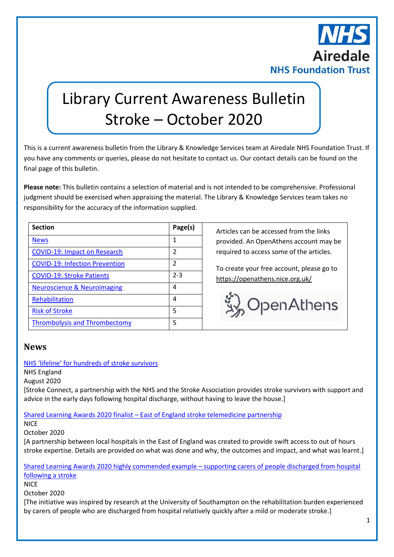

# Library Current Awareness Bulletin Stroke – October 2020

This is a current awareness bulletin from the Library & Knowledge Services team at Airedale NHS Foundation Trust. If you have any comments or queries, please do not hesitate to contact us. Our contact details can be found on the final page of this bulletin.

**Please note:** This bulletin contains a selection of material and is not intended to be comprehensive. Professional judgment should be exercised when appraising the material. The Library & Knowledge Services team takes no responsibility for the accuracy of the information supplied.

| <b>Section</b>                         | Page(s)        |
|----------------------------------------|----------------|
| <b>News</b>                            | 1              |
| <b>COVID-19: Impact on Research</b>    | $\mathfrak z$  |
| <b>COVID-19: Infection Prevention</b>  | $\mathfrak{p}$ |
| <b>COVID-19: Stroke Patients</b>       | $2 - 3$        |
| <b>Neuroscience &amp; Neuroimaging</b> | 4              |
| Rehabilitation                         | 4              |
| <b>Risk of Stroke</b>                  | 5              |
| <b>Thrombolysis and Thrombectomy</b>   | 5              |

**Section Page(s)** Articles can be accessed from the links provided. An OpenAthens account may be required to access some of the articles.

To create your free account, please go to <https://openathens.nice.org.uk/>



#### <span id="page-0-0"></span>**News**

#### NHS ['lifeline' for hundreds of stroke survivors](https://www.england.nhs.uk/2020/08/nhs-lifeline-for-hundreds-of-stroke-survivors/)

NHS England

August 2020

[Stroke Connect, a partnership with the NHS and the Stroke Association provides stroke survivors with support and advice in the early days following hospital discharge, without having to leave the house.]

#### Shared Learning Awards 2020 finalist – [East of England stroke telemedicine partnership](https://www.nice.org.uk/about/what-we-do/into-practice/shared-learning-case-studies/shared-learning-awards/shared-learning-awards-2020/shared-learning-awards-2020-finalist---east-of-england-stroke-telemedicine-partnership)

**NICE** 

October 2020

[A partnership between local hospitals in the East of England was created to provide swift access to out of hours stroke expertise. Details are provided on what was done and why, the outcomes and impact, and what was learnt.]

[Shared Learning Awards 2020 highly commended example](https://www.nice.org.uk/about/what-we-do/into-practice/shared-learning-case-studies/shared-learning-awards/shared-learning-awards-2020/shared-learning-awards-2020-highly-commended-example----supporting-carers-of-people-discharged-from-hospital-following-a-stroke) – supporting carers of people discharged from hospital [following a stroke](https://www.nice.org.uk/about/what-we-do/into-practice/shared-learning-case-studies/shared-learning-awards/shared-learning-awards-2020/shared-learning-awards-2020-highly-commended-example----supporting-carers-of-people-discharged-from-hospital-following-a-stroke)

**NICE** 

October 2020

[The initiative was inspired by research at the University of Southampton on the rehabilitation burden experienced by carers of people who are discharged from hospital relatively quickly after a mild or moderate stroke.]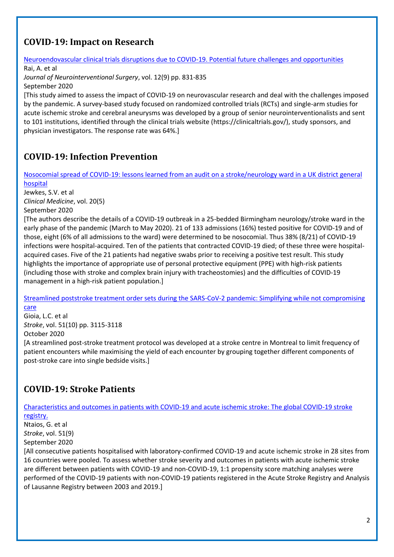### <span id="page-1-0"></span>**COVID-19: Impact on Research**

[Neuroendovascular clinical trials disruptions due to COVID-19. Potential future challenges and opportunities](https://jnis.bmj.com/content/12/9/831)

Rai, A. et al *Journal of Neurointerventional Surgery*, vol. 12(9) pp. 831-835 September 2020

[This study aimed to assess the impact of COVID-19 on neurovascular research and deal with the challenges imposed by the pandemic. A survey-based study focused on randomized controlled trials (RCTs) and single-arm studies for acute ischemic stroke and cerebral aneurysms was developed by a group of senior neurointerventionalists and sent to 101 institutions, identified through the clinical trials website (https://clinicaltrials.gov/), study sponsors, and physician investigators. The response rate was 64%.]

# <span id="page-1-1"></span>**COVID-19: Infection Prevention**

[Nosocomial spread of COVID-19: lessons learned from an audit on a stroke/neurology ward in a UK district general](https://www.rcpjournals.org/content/clinmedicine/20/5/e173)  [hospital](https://www.rcpjournals.org/content/clinmedicine/20/5/e173)

Jewkes, S.V. et al *Clinical Medicine*, vol. 20(5)

September 2020

[The authors describe the details of a COVID-19 outbreak in a 25-bedded Birmingham neurology/stroke ward in the early phase of the pandemic (March to May 2020). 21 of 133 admissions (16%) tested positive for COVID-19 and of those, eight (6% of all admissions to the ward) were determined to be nosocomial. Thus 38% (8/21) of COVID-19 infections were hospital-acquired. Ten of the patients that contracted COVID-19 died; of these three were hospitalacquired cases. Five of the 21 patients had negative swabs prior to receiving a positive test result. This study highlights the importance of appropriate use of personal protective equipment (PPE) with high-risk patients (including those with stroke and complex brain injury with tracheostomies) and the difficulties of COVID-19 management in a high-risk patient population.]

[Streamlined poststroke treatment order sets during the SARS-CoV-2 pandemic: Simplifying while not compromising](https://www.ncbi.nlm.nih.gov/pmc/articles/PMC7446994/)  [care](https://www.ncbi.nlm.nih.gov/pmc/articles/PMC7446994/)

Gioia, L.C. et al *Stroke*, vol. 51(10) pp. 3115-3118 October 2020

[A streamlined post-stroke treatment protocol was developed at a stroke centre in Montreal to limit frequency of patient encounters while maximising the yield of each encounter by grouping together different components of post-stroke care into single bedside visits.]

# <span id="page-1-2"></span>**COVID-19: Stroke Patients**

[Characteristics and outcomes in patients with COVID-19 and acute ischemic stroke: The global COVID-19 stroke](https://www.ncbi.nlm.nih.gov/pmc/articles/PMC7359900/)  [registry.](https://www.ncbi.nlm.nih.gov/pmc/articles/PMC7359900/)

Ntaios, G. et al *Stroke*, vol. 51(9) September 2020

[All consecutive patients hospitalised with laboratory-confirmed COVID-19 and acute ischemic stroke in 28 sites from 16 countries were pooled. To assess whether stroke severity and outcomes in patients with acute ischemic stroke are different between patients with COVID-19 and non-COVID-19, 1:1 propensity score matching analyses were performed of the COVID-19 patients with non-COVID-19 patients registered in the Acute Stroke Registry and Analysis of Lausanne Registry between 2003 and 2019.]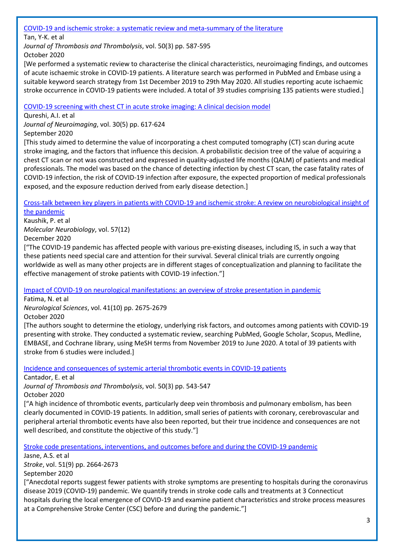[COVID-19 and ischemic stroke: a systematic review and meta-summary of the literature](https://link.springer.com/article/10.1007/s11239-020-02228-y)

Tan, Y-K. et al

*Journal of Thrombosis and Thrombolysis*, vol. 50(3) pp. 587-595 October 2020

[We performed a systematic review to characterise the clinical characteristics, neuroimaging findings, and outcomes of acute ischaemic stroke in COVID-19 patients. A literature search was performed in PubMed and Embase using a suitable keyword search strategy from 1st December 2019 to 29th May 2020. All studies reporting acute ischaemic stroke occurrence in COVID-19 patients were included. A total of 39 studies comprising 135 patients were studied.]

[COVID-19 screening with chest CT in acute stroke imaging: A clinical decision model](https://onlinelibrary.wiley.com/doi/10.1111/jon.12746)

Qureshi, A.I. et al

*Journal of Neuroimaging*, vol. 30(5) pp. 617-624 September 2020

[This study aimed to determine the value of incorporating a chest computed tomography (CT) scan during acute stroke imaging, and the factors that influence this decision. A probabilistic decision tree of the value of acquiring a chest CT scan or not was constructed and expressed in quality‐adjusted life months (QALM) of patients and medical professionals. The model was based on the chance of detecting infection by chest CT scan, the case fatality rates of COVID‐19 infection, the risk of COVID‐19 infection after exposure, the expected proportion of medical professionals exposed, and the exposure reduction derived from early disease detection.]

[Cross-talk between key players in patients with COVID-19 and ischemic stroke: A review on neurobiological insight of](https://link.springer.com/article/10.1007%2Fs12035-020-02072-4)  [the pandemic](https://link.springer.com/article/10.1007%2Fs12035-020-02072-4)

Kaushik, P. et al *Molecular Neurobiology*, vol. 57(12) December 2020

["The COVID-19 pandemic has affected people with various pre-existing diseases, including IS, in such a way that these patients need special care and attention for their survival. Several clinical trials are currently ongoing worldwide as well as many other projects are in different stages of conceptualization and planning to facilitate the effective management of stroke patients with COVID-19 infection."]

[Impact of COVID-19 on neurological manifestations: an overview of stroke presentation in pandemic](https://link.springer.com/article/10.1007%2Fs10072-020-04637-6)

Fatima, N. et al

*Neurological Sciences*, vol. 41(10) pp. 2675-2679

October 2020

[The authors sought to determine the etiology, underlying risk factors, and outcomes among patients with COVID-19 presenting with stroke. They conducted a systematic review, searching PubMed, Google Scholar, Scopus, Medline, EMBASE, and Cochrane library, using MeSH terms from November 2019 to June 2020. A total of 39 patients with stroke from 6 studies were included.]

[Incidence and consequences of systemic arterial thrombotic events in COVID-19 patients](https://link.springer.com/article/10.1007%2Fs11239-020-02176-7)

Cantador, E. et al

*Journal of Thrombosis and Thrombolysis*, vol. 50(3) pp. 543-547

October 2020

["A high incidence of thrombotic events, particularly deep vein thrombosis and pulmonary embolism, has been clearly documented in COVID-19 patients. In addition, small series of patients with coronary, cerebrovascular and peripheral arterial thrombotic events have also been reported, but their true incidence and consequences are not well described, and constitute the objective of this study."]

[Stroke code presentations, interventions, and outcomes before and during the COVID-19 pandemic](https://www.ncbi.nlm.nih.gov/pmc/articles/PMC7446978/)

Jasne, A.S. et al *Stroke*, vol. 51(9) pp. 2664-2673

September 2020

["Anecdotal reports suggest fewer patients with stroke symptoms are presenting to hospitals during the coronavirus disease 2019 (COVID-19) pandemic. We quantify trends in stroke code calls and treatments at 3 Connecticut hospitals during the local emergence of COVID-19 and examine patient characteristics and stroke process measures at a Comprehensive Stroke Center (CSC) before and during the pandemic."]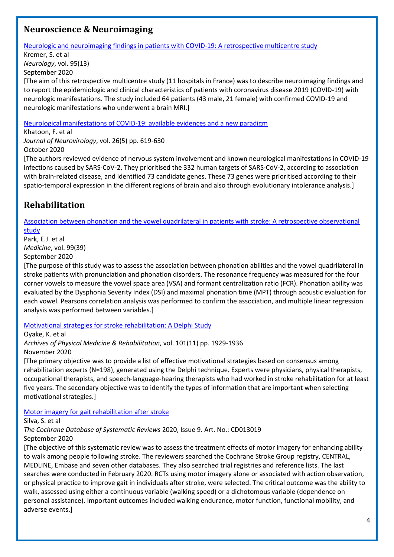#### <span id="page-3-0"></span>**Neuroscience & Neuroimaging**

[Neurologic and neuroimaging findings in patients with COVID-19: A retrospective multicentre study](https://n.neurology.org/content/95/13/e1868)

Kremer, S. et al *Neurology*, vol. 95(13) September 2020

[The aim of this retrospective multicentre study (11 hospitals in France) was to describe neuroimaging findings and to report the epidemiologic and clinical characteristics of patients with coronavirus disease 2019 (COVID-19) with neurologic manifestations. The study included 64 patients (43 male, 21 female) with confirmed COVID-19 and neurologic manifestations who underwent a brain MRI.]

[Neurological manifestations of COVID-19: available evidences and a new paradigm](https://link.springer.com/article/10.1007%2Fs13365-020-00895-4)

Khatoon, F. et al *Journal of Neurovirology*, vol. 26(5) pp. 619-630 October 2020

[The authors reviewed evidence of nervous system involvement and known neurological manifestations in COVID-19 infections caused by SARS-CoV-2. They prioritised the 332 human targets of SARS-CoV-2, according to association with brain-related disease, and identified 73 candidate genes. These 73 genes were prioritised according to their spatio-temporal expression in the different regions of brain and also through evolutionary intolerance analysis.]

# <span id="page-3-1"></span>**Rehabilitation**

[Association between phonation and the vowel quadrilateral in patients with stroke: A retrospective observational](http://europepmc.org/article/MED/32991418)  [study](http://europepmc.org/article/MED/32991418)

#### Park, E.J. et al

*Medicine*, vol. 99(39)

September 2020

[The purpose of this study was to assess the association between phonation abilities and the vowel quadrilateral in stroke patients with pronunciation and phonation disorders. The resonance frequency was measured for the four corner vowels to measure the vowel space area (VSA) and formant centralization ratio (FCR). Phonation ability was evaluated by the Dysphonia Severity Index (DSI) and maximal phonation time (MPT) through acoustic evaluation for each vowel. Pearsons correlation analysis was performed to confirm the association, and multiple linear regression analysis was performed between variables.]

[Motivational strategies for stroke rehabilitation: A Delphi Study](https://www.archives-pmr.org/article/S0003-9993(20)30418-4/fulltext)

Oyake, K. et al

*Archives of Physical Medicine & Rehabilitation*, vol. 101(11) pp. 1929-1936

November 2020

[The primary objective was to provide a list of effective motivational strategies based on consensus among rehabilitation experts (N=198), generated using the Delphi technique. Experts were physicians, physical therapists, occupational therapists, and speech-language-hearing therapists who had worked in stroke rehabilitation for at least five years. The secondary objective was to identify the types of information that are important when selecting motivational strategies.]

[Motor imagery for gait rehabilitation after stroke](https://www.cochranelibrary.com/cdsr/doi/10.1002/14651858.CD013019.pub2/full)

Silva, S. et al

*The Cochrane Database of Systematic Reviews* 2020, Issue 9. Art. No.: CD013019

September 2020

[The objective of this systematic review was to assess the treatment effects of motor imagery for enhancing ability to walk among people following stroke. The reviewers searched the Cochrane Stroke Group registry, CENTRAL, MEDLINE, Embase and seven other databases. They also searched trial registries and reference lists. The last searches were conducted in February 2020. RCTs using motor imagery alone or associated with action observation, or physical practice to improve gait in individuals after stroke, were selected. The critical outcome was the ability to walk, assessed using either a continuous variable (walking speed) or a dichotomous variable (dependence on personal assistance). Important outcomes included walking endurance, motor function, functional mobility, and adverse events.]